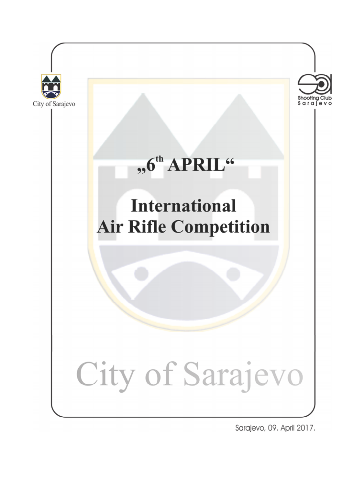

Sarajevo, 09. April 2017.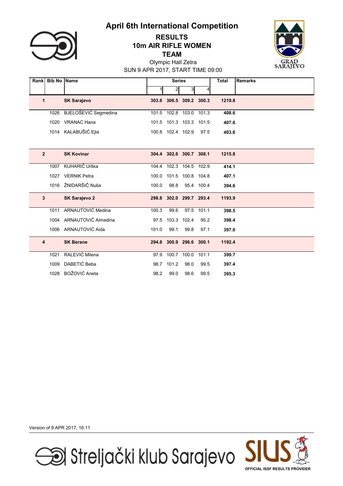

## TEAM 10m AIR RIFLE WOMEN RESULTS



SUN 9 APR 2017, START TIME 09:00 Olympic Hall Zetra

| <b>Rank</b>    | <b>Bib No Name</b> |                          |       | <b>Series</b>           |                   |            | <b>Total</b> | <b>Remarks</b> |
|----------------|--------------------|--------------------------|-------|-------------------------|-------------------|------------|--------------|----------------|
|                |                    |                          |       | $\mathbf{c}$            | 3                 | 4          |              |                |
| 1              |                    | <b>SK Sarajevo</b>       | 303.8 |                         | 306.5 309.2 300.3 |            | 1219.8       |                |
|                | 1026               | BJELOŠEVIĆ Segmedina     | 101.5 | 102.8 103.0             |                   | 101.3      | 408.6        |                |
|                | 1020               | <b>VRANAC Hana</b>       |       | 101.5 101.3 103.3 101.5 |                   |            | 407.6        |                |
|                | 1014               | KALABUŠIĆ Ejla           |       | 100.8 102.4 102.9       |                   | 97.5       | 403.6        |                |
|                |                    |                          |       |                         |                   |            |              |                |
| $\overline{2}$ |                    | <b>SK Kovinar</b>        |       | 304.4 302.6 300.7 308.1 |                   |            | 1215.8       |                |
|                | 1007               | KUHARIČ Urška            | 104.4 |                         | 102.3 104.5       | 102.9      | 414.1        |                |
|                | 1027               | <b>VERNIK Petra</b>      | 100.0 |                         | 101.5 100.8 104.8 |            | 407.1        |                |
|                | 1016               | ŽNIDARŠIČ Nuša           | 100.0 | 98.8                    |                   | 95.4 100.4 | 394.6        |                |
| 3              |                    | <b>SK Sarajevo 2</b>     |       | 298.8 302.0 299.7 293.4 |                   |            | 1193.9       |                |
|                | 1011               | <b>ARNAUTOVIĆ Medina</b> | 100.3 | 99.6                    | 97.5              | 101.1      | 398.5        |                |
|                | 1004               | ARNAUTOVIĆ Almedina      | 97.5  | 103.3                   | 102.4             | 95.2       | 398.4        |                |
|                |                    | 1006 ARNAUTOVIĆ Aida     | 101.0 | 99.1                    | 99.8              | 97.1       | 397.0        |                |
| 4              |                    | <b>SK Berane</b>         | 294.8 |                         | 300.9 296.6       | 300.1      | 1192.4       |                |
|                | 1021               | RALEVIĆ Milena           | 97.9  | 100.7                   | 100.0             | 101.1      | 399.7        |                |
|                | 1009               | DABETIĆ Beba             | 98.7  | 101.2                   | 98.0              | 99.5       | 397.4        |                |
|                | 1028               | BOŽOVIĆ Aneta            | 98.2  | 99.0                    | 98.6              | 99.5       | 395.3        |                |

Version of 9 APR 2017, 16:11



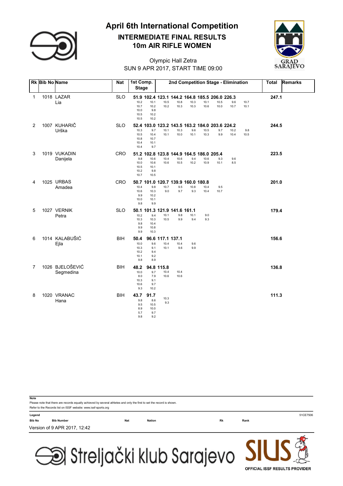

### 10m AIR RIFLE WOMEN INTERMEDIATE FINAL RESULTS



### SUN 9 APR 2017, START TIME 09:00 Olympic Hall Zetra

|                | Rk Bib No Name |                              | <b>Nat</b> | 1st Comp.<br><b>Stage</b>                   |                                           |                            |                                                                |              |              |              | 2nd Competition Stage - Elimination |              | <b>Total</b> | <b>Remarks</b> |
|----------------|----------------|------------------------------|------------|---------------------------------------------|-------------------------------------------|----------------------------|----------------------------------------------------------------|--------------|--------------|--------------|-------------------------------------|--------------|--------------|----------------|
| 1              |                | 1018 LAZAR<br>Lia            | <b>SLO</b> | 10.2<br>10.7<br>10.0<br>10.5<br>10.5        | 10.1<br>10.2<br>9.8<br>10.2<br>10.2       | 10.5<br>10.2               | 51.9 102.4 123.1 144.2 164.8 185.5 206.0 226.3<br>10.8<br>10.3 | 10.3<br>10.3 | 10.1<br>10.6 | 10.5<br>10.0 | 9.6<br>10.7                         | 10.7<br>10.1 | 247.1        |                |
| $\overline{2}$ |                | 1007 KUHARIČ<br>Urška        | <b>SLO</b> | 10.3<br>10.5<br>10.8<br>10.4<br>10.4        | 9.7<br>10.4<br>10.7<br>10.1<br>9.7        | 10.1<br>10.1               | 52.4 103.0 123.2 143.5 163.2 184.0 203.6 224.2<br>10.3<br>10.0 | 9.6<br>10.1  | 10.5<br>10.3 | 9.7<br>9.9   | 10.2<br>10.4                        | 9.8<br>10.5  | 244.5        |                |
| 3              |                | 1019 VUKADIN<br>Danijela     | <b>CRO</b> | 9.8<br>10.0<br>10.5<br>10.2<br>10.7         | 10.6<br>10.6<br>10.1<br>9.8<br>10.5       | 10.4<br>10.6               | 51.2 102.8 123.8 144.9 164.5 186.0 205.4<br>10.6<br>10.5       | 9.4<br>10.2  | 10.6<br>10.9 | 9.3<br>10.1  | 9.6<br>8.5                          |              | 223.5        |                |
| 4              |                | 1025 URBAS<br>Amadea         | <b>CRO</b> | 10.4<br>10.6<br>9.9<br>10.0<br>9.8          | 9.8<br>10.3<br>10.2<br>10.1<br>9.9        | 10.7<br>9.0                | 50.7 101.0 120.7 139.9 160.0 180.8<br>9.5<br>9.7               | 10.8<br>9.3  | 10.4<br>10.4 | 9.5<br>10.7  |                                     |              | 201.0        |                |
| 5              |                | 1027 VERNIK<br>Petra         | <b>SLO</b> | 10.2<br>10.3<br>9.8<br>9.9<br>9.9           | 9.4<br>10.3<br>10.4<br>10.8<br>10.3       | 10.1<br>10.5               | 50.1 101.3 121.9 141.6 161.1<br>9.8<br>9.9                     | 10.1<br>9.4  | 9.0<br>9.3   |              |                                     |              | 179.4        |                |
| 6              |                | 1014 KALABUŠIĆ<br>Ejla       | BIH        | 50.4<br>10.0<br>10.3<br>10.2<br>10.1<br>9.8 | 9.6<br>9.1<br>9.4<br>9.2<br>8.9           | 10.4<br>10.1               | 96.6 117.1 137.1<br>10.4<br>9.6                                | 9.6<br>9.9   |              |              |                                     |              | 156.6        |                |
| 7              |                | 1026 BJELOŠEVIĆ<br>Segmedina | <b>BIH</b> | 48.2<br>10.0<br>8.0<br>10.3<br>10.6<br>9.3  | 9.7<br>7.9<br>9.1<br>9.7<br>10.2          | 94.8 115.8<br>10.4<br>10.6 | 10.4<br>10.6                                                   |              |              |              |                                     |              | 136.8        |                |
| 8              |                | 1020 VRANAC<br>Hana          | <b>BIH</b> | 43.7<br>9.8<br>9.5<br>8.9<br>5.7<br>9.8     | 91.7<br>8.6<br>10.5<br>10.0<br>9.7<br>9.2 | 10.3<br>9.3                |                                                                |              |              |              |                                     |              | 111.3        |                |

Please note that there are records equally achieved by several athletes and only the first to set the record is shown. **Note** Refer to the Records list on ISSF website: www.issf-sports.org Legend 51CE7506 Bib No Bib Number Nat Nation Rk Rank Version of 9 APR 2017, 12:42

Si Streljački klub Sarajevo

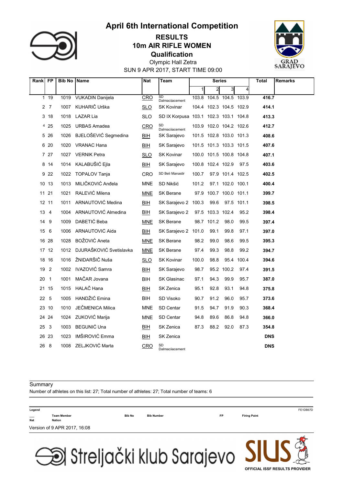

### **Qualification** 10m AIR RIFLE WOMEN RESULTS



SUN 9 APR 2017, START TIME 09:00 Olympic Hall Zetra

| Rank FP |                 | <b>Bib No   Name</b> |                         | Nat        | Team                                  | Series |                         |                  | Total                   | <b>Remarks</b> |  |
|---------|-----------------|----------------------|-------------------------|------------|---------------------------------------|--------|-------------------------|------------------|-------------------------|----------------|--|
|         |                 |                      |                         |            |                                       | 1      | 2                       | 3                | $\overline{\mathbf{4}}$ |                |  |
| 1       | 19              | 1019                 | <b>VUKADIN Danijela</b> | CRO        | SD<br>Dalmacijacement                 |        | 103.8 104.5 104.5 103.9 |                  |                         | 416.7          |  |
|         | 2 <sub>7</sub>  | 1007                 | KUHARIČ Urška           | <b>SLO</b> | <b>SK Kovinar</b>                     |        | 104.4 102.3 104.5 102.9 |                  |                         | 414.1          |  |
|         | 3 18            | 1018                 | <b>LAZAR Lia</b>        | <b>SLO</b> | SD IX Korpusa 103.1 102.3 103.1 104.8 |        |                         |                  |                         | 413.3          |  |
|         | 425             | 1025                 | <b>URBAS Amadea</b>     | CRO        | SD<br>Dalmaciiacement                 |        | 103.9 102.0 104.2 102.6 |                  |                         | 412.7          |  |
|         | 5 26            | 1026                 | BJELOŠEVIĆ Segmedina    | <b>BIH</b> | SK Sarajevo                           |        | 101.5 102.8 103.0 101.3 |                  |                         | 408.6          |  |
|         | 6 20            | 1020                 | VRANAC Hana             | BIH        | SK Sarajevo                           |        | 101.5 101.3 103.3 101.5 |                  |                         | 407.6          |  |
|         | 7 27            | 1027                 | <b>VERNIK Petra</b>     | <b>SLO</b> | <b>SK Kovinar</b>                     |        | 100.0 101.5 100.8 104.8 |                  |                         | 407.1          |  |
|         | 8 14            | 1014                 | KALABUŠIĆ Ejla          | $BIH$      | SK Sarajevo                           |        | 100.8 102.4 102.9       |                  | 97.5                    | 403.6          |  |
|         | 9 2 2           | 1022                 | <b>TOPALOV Tanja</b>    | CRO        | SD Beli Manastir                      | 100.7  |                         | 97.9 101.4 102.5 |                         | 402.5          |  |
|         | 10 13           | 1013                 | MILIČKOVIĆ Anđela       | <b>MNE</b> | SD Nikšić                             | 101.2  |                         | 97.1 102.0 100.1 |                         | 400.4          |  |
|         | 11 21           | 1021                 | RALEVIĆ Milena          | <b>MNE</b> | SK Berane                             |        | 97.9 100.7 100.0 101.1  |                  |                         | 399.7          |  |
|         | 12 11           | 1011                 | ARNAUTOVIĆ Medina       | <b>BIH</b> | SK Sarajevo 2 100.3                   |        | 99.6                    |                  | 97.5 101.1              | 398.5          |  |
|         | 13 4            | 1004                 | ARNAUTOVIĆ Almedina     | BIH        | SK Sarajevo 2                         |        | 97.5 103.3 102.4        |                  | 95.2                    | 398.4          |  |
| 14      | -9              | 1009                 | DABETIĆ Beba            | <b>MNE</b> | <b>SK Berane</b>                      |        | 98.7 101.2              | 98.0             | 99.5                    | 397.4          |  |
| 15      | 6               | 1006                 | ARNAUTOVIĆ Aida         | <b>BIH</b> | SK Sarajevo 2                         | 101.0  | 99.1                    | 99.8             | 97.1                    | 397.0          |  |
|         | 16 28           | 1028                 | BOŽOVIĆ Aneta           | <b>MNE</b> | SK Berane                             | 98.2   | 99.0                    | 98.6             | 99.5                    | 395.3          |  |
|         | 17 12           | 1012                 | DJURAŠKOVIĆ Svetislavka | <b>MNE</b> | <b>SK Berane</b>                      | 97.4   | 99.3                    | 98.8             | 99.2                    | 394.7          |  |
|         | 18 16           | 1016                 | ŽNIDARŠIČ Nuša          | <b>SLO</b> | <b>SK Kovinar</b>                     | 100.0  | 98.8                    | 95.4             | 100.4                   | 394.6          |  |
| 19      | $\overline{2}$  | 1002                 | IVAZOVIĆ Samra          | BIH        | SK Sarajevo                           | 98.7   |                         | 95.2 100.2       | 97.4                    | 391.5          |  |
| 20      | $\overline{1}$  | 1001                 | MAČAR Jovana            | BIH.       | SK Glasinac                           | 97.1   | 94.3                    | 99.9             | 95.7                    | 387.0          |  |
|         | 21 15           | 1015                 | HALAČ Hana              | BIH        | SK Zenica                             | 95.1   | 92.8                    | 93.1             | 94.8                    | 375.8          |  |
|         | 22 <sub>5</sub> | 1005                 | HANDŽIĆ Emina           | BIH        | SD Visoko                             | 90.7   | 91.2                    | 96.0             | 95.7                    | 373.6          |  |
|         | 23 10           | 1010                 | JEČMENICA Milica        | <b>MNE</b> | SD Centar                             | 91.5   | 94.7                    | 91.9             | 90.3                    | 368.4          |  |
|         | 24 24           | 1024                 | ZUKOVIĆ Marija          | <b>MNE</b> | SD Centar                             | 94.8   | 89.6                    | 86.8             | 94.8                    | 366.0          |  |
| 25      | $\mathbf{3}$    | 1003                 | <b>BEGUNIĆ Una</b>      | BIH        | SK Zenica                             | 87.3   | 88.2                    | 92.0             | 87.3                    | 354.8          |  |
|         | 26 23           | 1023                 | IMŠIROVIĆ Emma          | <b>BIH</b> | SK Zenica                             |        |                         |                  |                         | <b>DNS</b>     |  |
|         | 26 8            |                      | 1008 ZELJKOVIĆ Marta    | <b>CRO</b> | SD<br>Dalmaciiacement                 |        |                         |                  |                         | <b>DNS</b>     |  |

#### **Summary**

Number of athletes on this list: 27; Total number of athletes: 27; Total number of teams: 6

| Legend                          |                              |               |                   |           |                     | FE1DB67D |
|---------------------------------|------------------------------|---------------|-------------------|-----------|---------------------|----------|
| $\hspace{0.05cm}$<br><b>Nat</b> | <b>Team Member</b><br>Nation | <b>Bib No</b> | <b>Bib Number</b> | <b>FP</b> | <b>Firing Point</b> |          |
|                                 | Version of 9 APR 2017, 16:08 |               |                   |           |                     |          |
|                                 |                              |               |                   |           | <b>ALL BAR AN</b>   |          |

Streljački klub Sarajevo JI

# OFFICIAL ISSF RESULTS PROVIDER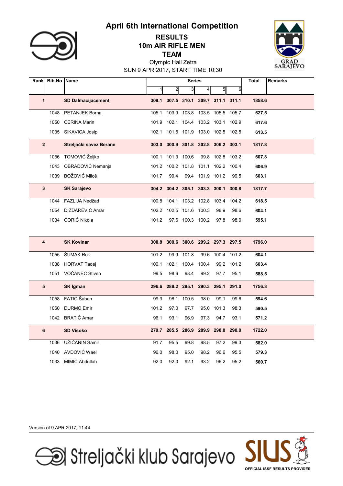

### TEAM 10m AIR RIFLE MEN RESULTS



SUN 9 APR 2017, START TIME 10:30 Olympic Hall Zetra

| Rank         | <b>Bib No Name</b> |                           |       |                                     | <b>Series</b>    |                               |             |       | <b>Total</b> | <b>Remarks</b> |
|--------------|--------------------|---------------------------|-------|-------------------------------------|------------------|-------------------------------|-------------|-------|--------------|----------------|
|              |                    |                           |       | $\overline{c}$                      | 3                | $\vert 4 \vert$               | 5           | 6     |              |                |
| $\mathbf{1}$ |                    | <b>SD Dalmacijacement</b> |       | 309.1 307.5 310.1 309.7 311.1 311.1 |                  |                               |             |       | 1858.6       |                |
|              | 1048               | PETANJEK Borna            | 105.1 | 103.9                               | 103.8            | 103.5                         | 105.5       | 105.7 | 627.5        |                |
|              | 1050               | <b>CERINA Marin</b>       | 101.9 | 102.1                               | 104.4            |                               | 103.2 103.1 | 102.9 | 617.6        |                |
|              |                    | 1035 SIKAVICA Josip       | 102.1 |                                     |                  | 101.5 101.9 103.0 102.5 102.5 |             |       | 613.5        |                |
| $\mathbf{2}$ |                    | Streljački savez Berane   | 303.0 |                                     |                  | 300.9 301.8 302.8 306.2 303.1 |             |       | 1817.8       |                |
|              | 1056               | TOMOVIĆ Željko            | 100.1 | 101.3                               | 100.6            | 99.8                          | 102.8       | 103.2 | 607.8        |                |
|              | 1043               | OBRADOVIĆ Nemanja         | 101.2 |                                     | 100.2 101.8      |                               | 101.1 102.2 | 100.4 | 606.9        |                |
|              | 1039               | BOŽOVIĆ Miloš             | 101.7 | 99.4                                | 99.4             |                               | 101.9 101.2 | 99.5  | 603.1        |                |
| 3            |                    | <b>SK Sarajevo</b>        |       | 304.2 304.2 305.1 303.3 300.1 300.8 |                  |                               |             |       | 1817.7       |                |
|              | 1044               | FAZLIJA Nedžad            | 100.8 | 104.1                               | 103.2            | 102.8                         | 103.4       | 104.2 | 618.5        |                |
|              | 1054               | DIZDAREVIĆ Amar           | 102.2 |                                     | 102.5 101.6      | 100.3                         | 98.9        | 98.6  | 604.1        |                |
|              |                    | 1034 ĆORIĆ Nikola         | 101.2 |                                     | 97.6 100.3 100.2 |                               | 97.8        | 98.0  | 595.1        |                |
|              |                    |                           |       |                                     |                  |                               |             |       |              |                |
| 4            |                    | <b>SK Kovinar</b>         |       | 300.8 300.6 300.6 299.2 297.3 297.5 |                  |                               |             |       | 1796.0       |                |
|              | 1055               | ŠUMAK Rok                 | 101.2 | 99.9                                | 101.8            | 99.6                          | 100.4       | 101.2 | 604.1        |                |
|              | 1038               | <b>HORVAT Tadej</b>       | 100.1 | 102.1                               | 100.4            | 100.4                         | 99.2        | 101.2 | 603.4        |                |
|              |                    | 1051 VOČANEC Stiven       | 99.5  | 98.6                                | 98.4             | 99.2                          | 97.7        | 95.1  | 588.5        |                |
| 5            |                    | <b>SK Igman</b>           |       | 296.6 288.2 295.1                   |                  |                               | 290.3 295.1 | 291.0 | 1756.3       |                |
|              | 1058               | FATIĆ Šaban               | 99.3  | 98.1                                | 100.5            | 98.0                          | 99.1        | 99.6  | 594.6        |                |
|              | 1060               | <b>DURMO Emir</b>         | 101.2 | 97.0                                | 97.7             | 95.0                          | 101.3       | 98.3  | 590.5        |                |
|              |                    | 1042 BRATIĆ Amar          | 96.1  | 93.1                                | 96.9             | 97.3                          | 94.7        | 93.1  | 571.2        |                |
| 6            |                    | <b>SD Visoko</b>          | 279.7 | 285.5                               | 286.9            | 289.9                         | 290.0       | 290.0 | 1722.0       |                |
|              | 1036               | UŽIČANIN Samir            | 91.7  | 95.5                                | 99.8             | 98.5                          | 97.2        | 99.3  | 582.0        |                |
|              | 1040               | AVDOVIĆ Wael              | 96.0  | 98.0                                | 95.0             | 98.2                          | 96.6        | 95.5  | 579.3        |                |
|              |                    | 1033 MIMIĆ Abdullah       | 92.0  | 92.0                                | 92.1             | 93.2                          | 96.2        | 95.2  | 560.7        |                |

Version of 9 APR 2017, 11:44



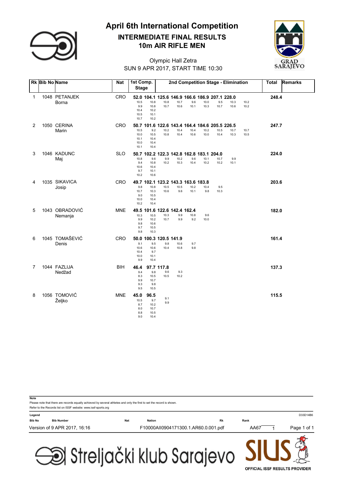

# 10m AIR RIFLE MEN April 6th International Competition INTERMEDIATE FINAL RESULTS



### SUN 9 APR 2017, START TIME 10:30 Olympic Hall Zetra

|   | <b>Rk Bib No Name</b> |                           | <b>Nat</b> | 1st Comp.<br><b>Stage</b>                |                                             |                           |                                                                |              |              |              | 2nd Competition Stage - Elimination |              | <b>Total</b> | <b>Remarks</b> |
|---|-----------------------|---------------------------|------------|------------------------------------------|---------------------------------------------|---------------------------|----------------------------------------------------------------|--------------|--------------|--------------|-------------------------------------|--------------|--------------|----------------|
| 1 |                       | 1048 PETANJEK<br>Borna    | <b>CRO</b> | 10.5<br>9.9<br>10.4<br>10.5<br>10.7      | 10.8<br>10.8<br>10.2<br>10.1<br>10.2        | 10.8<br>10.7              | 52.0 104.1 125.6 146.9 166.6 186.9 207.1 228.0<br>10.7<br>10.6 | 9.6<br>10.1  | 10.0<br>10.3 | 9.5<br>10.7  | 10.3<br>10.6                        | 10.2<br>10.2 | 248.4        |                |
| 2 |                       | 1050 CERINA<br>Marin      | <b>CRO</b> | 10.5<br>10.0<br>10.1<br>10.0<br>10.1     | 9.2<br>10.5<br>10.4<br>10.4<br>10.4         | 10.2<br>10.8              | 50.7 101.6 122.6 143.4 164.4 184.6 205.5 226.5<br>10.4<br>10.4 | 10.4<br>10.6 | 10.2<br>10.0 | 10.5<br>10.4 | 10.7<br>10.3                        | 10.7<br>10.5 | 247.7        |                |
| 3 |                       | 1046 KADUNC<br>Maj        | <b>SLO</b> | 10.8<br>9.4<br>10.6<br>9.7<br>10.2       | 9.6<br>10.8<br>10.4<br>10.1<br>10.6         | 9.9<br>10.2               | 50.7 102.2 122.3 142.8 162.8 183.1 204.0<br>10.2<br>10.3       | 9.6<br>10.4  | 10.1<br>10.2 | 10.7<br>10.2 | 9.9<br>10.1                         |              | 224.0        |                |
| 4 |                       | 1035 SIKAVICA<br>Josip    | <b>CRO</b> | 9.8<br>10.7<br>9.0<br>10.0<br>10.2       | 10.8<br>10.3<br>10.5<br>10.4<br>10.4        | 10.5<br>10.6              | 49.7 102.1 123.2 143.3 163.6 183.8<br>10.5<br>9.6              | 10.2<br>10.1 | 10.4<br>9.8  | 9.5<br>10.3  |                                     |              | 203.6        |                |
| 5 |                       | 1043 OBRADOVIĆ<br>Nemanja | <b>MNE</b> | 10.3<br>9.9<br>9.8<br>9.7<br>9.8         | 10.5<br>10.2<br>10.6<br>10.5<br>10.3        | 10.3<br>10.7              | 49.5 101.6 122.6 142.4 162.4<br>9.9<br>9.9                     | 10.8<br>9.2  | 9.6<br>10.0  |              |                                     |              | 182.0        |                |
| 6 |                       | 1045 TOMAŠEVIĆ<br>Denis   | CRO        | 9.1<br>10.6<br>10.4<br>10.0<br>9.9       | 9.5<br>10.6<br>9.7<br>10.1<br>10.4          | 9.8<br>10.4               | 50.0 100.3 120.5 141.9<br>10.6<br>10.8                         | 9.7<br>9.8   |              |              |                                     |              | 161.4        |                |
| 7 |                       | 1044 FAZLIJA<br>Nedžad    | <b>BIH</b> | 46.4<br>9.4<br>8.3<br>9.9<br>9.3<br>9.5  | 9.8<br>10.5<br>10.7<br>9.8<br>10.5          | 97.7 117.8<br>9.6<br>10.5 | 9.3<br>10.2                                                    |              |              |              |                                     |              | 137.3        |                |
| 8 |                       | 1056 TOMOVIĆ<br>Željko    | <b>MNE</b> | 45.0<br>10.5<br>8.7<br>8.0<br>8.8<br>9.0 | 96.5<br>9.7<br>10.2<br>10.7<br>10.5<br>10.4 | 9.1<br>9.9                |                                                                |              |              |              |                                     |              | 115.5        |                |

Please note that there are records equally achieved by several athletes and only the first to set the record is shown. **Note** Refer to the Records list on ISSF website: www.issf-sports.org Legend D33D14B6 Bib No Bib Number Nat Nation Rk Rank Version of 9 APR 2017, 16:16 F10000AII0904171300.1.AR60.0.001.pdf AA67 1 Page 1 of 1

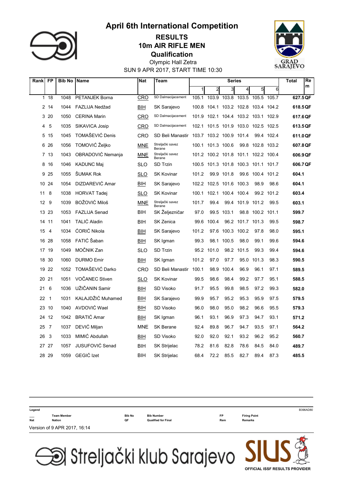

### **Qualification** 10m AIR RIFLE MEN RESULTS



SUN 9 APR 2017, START TIME 10:30 Olympic Hall Zetra

| Rank        | <b>FP</b>      | <b>Bib No</b> | Name                  | <b>Nat</b> | <b>Team</b>                | <b>Series</b> |                                     |                               | Re<br>Total      |                  |            |          |
|-------------|----------------|---------------|-----------------------|------------|----------------------------|---------------|-------------------------------------|-------------------------------|------------------|------------------|------------|----------|
|             |                |               |                       |            |                            |               | $\overline{c}$                      | 3                             | 4                | 5                | 6          | m        |
| $\mathbf 1$ | 18             | 1048          | <b>PETANJEK Borna</b> | CRO        | SD Dalmacijacement         | 105.1         | 103.9                               | 103.8                         | 103.5            | 105.5            | 105.7      | 627.5 QF |
|             | 2 14           | 1044          | FAZLIJA Nedžad        | BIH        | SK Sarajevo                | 100.8         |                                     | 104.1 103.2 102.8 103.4 104.2 |                  |                  |            | 618.5QF  |
|             | 3 20           | 1050          | <b>CERINA Marin</b>   | CRO        | SD Dalmacijacement         | 101.9         |                                     | 102.1 104.4 103.2 103.1 102.9 |                  |                  |            | 617.6QF  |
| 4           | 5              | 1035          | SIKAVICA Josip        | CRO        | SD Dalmacijacement         |               | 102.1 101.5 101.9 103.0 102.5 102.5 |                               |                  |                  |            | 613.5 QF |
| 5           | 15             | 1045          | TOMAŠEVIĆ Denis       | CRO        | SD Beli Manastir           | 103.7         |                                     | 103.2 100.9 101.4             |                  |                  | 99.4 102.4 | 611.0 QF |
|             | 6 26           | 1056          | TOMOVIĆ Željko        | <b>MNE</b> | Streljački savez<br>Berane |               | 100.1 101.3 100.6                   |                               |                  | 99.8 102.8 103.2 |            | 607.8 QF |
|             | 7 13           | 1043          | OBRADOVIĆ Nemanja     | <b>MNE</b> | Streljački savez<br>Berane |               | 101.2 100.2 101.8 101.1 102.2 100.4 |                               |                  |                  |            | 606.9 QF |
| 8           | -16            | 1046          | <b>KADUNC Maj</b>     | SLO        | <b>SD Trzin</b>            |               | 100.5 101.3 101.8 100.3 101.1 101.7 |                               |                  |                  |            | 606.7 QF |
| 9           | 25             | 1055          | ŠUMAK Rok             | SLO        | <b>SK Kovinar</b>          | 101.2         |                                     | 99.9 101.8                    | 99.6             | 100.4 101.2      |            | 604.1    |
|             | 10 24          | 1054          | DIZDAREVIĆ Amar       | BIH        | SK Sarajevo                |               | 102.2 102.5 101.6 100.3             |                               |                  | 98.9             | 98.6       | 604.1    |
| 11          | 8              | 1038          | <b>HORVAT Tadej</b>   | <b>SLO</b> | <b>SK Kovinar</b>          | 100.1         |                                     | 102.1 100.4 100.4             |                  | 99.2             | 101.2      | 603.4    |
| 12          | - 9            | 1039          | <b>BOŽOVIĆ Miloš</b>  | <b>MNE</b> | Streljački savez<br>Berane | 101.7         | 99.4                                |                               | 99.4 101.9 101.2 |                  | 99.5       | 603.1    |
| 13          | 23             | 1053          | <b>FAZLIJA Senad</b>  | BIH        | SK Željezničar             | 97.0          |                                     | 99.5 103.1                    |                  | 98.8 100.2 101.1 |            | 599.7    |
| 14          | 11             | 1041          | <b>TALIĆ Aladin</b>   | BIH        | <b>SK Zenica</b>           | 99.6          | 100.4                               |                               | 96.2 101.7 101.3 |                  | 99.5       | 598.7    |
| 15          | $\overline{4}$ | 1034          | ĆORIĆ Nikola          | BIH        | SK Sarajevo                | 101.2         |                                     | 97.6 100.3 100.2              |                  | 97.8             | 98.0       | 595.1    |
|             | 16 28          | 1058          | FATIĆ Šaban           | BIH        | SK Igman                   | 99.3          | 98.1                                | 100.5                         | 98.0             | 99.1             | 99.6       | 594.6    |
| 17          | 19             | 1049          | MOČNIK Zan            | <b>SLO</b> | SD Trzin                   | 95.2          | 101.0                               | 98.2                          | 101.5            | 99.3             | 99.4       | 594.6    |
| 18          | 30             | 1060          | <b>DURMO Emir</b>     | BIH        | SK Igman                   | 101.2         | 97.0                                | 97.7                          | 95.0             | 101.3            | 98.3       | 590.5    |
|             | 19 22          | 1052          | TOMAŠEVIĆ Darko       | <b>CRO</b> | SD Beli Manastir           | 100.1         | 98.9                                | 100.4                         | 96.9             | 96.1             | 97.1       | 589.5    |
| 20          | 21             | 1051          | VOČANEC Stiven        | SLO        | <b>SK Kovinar</b>          | 99.5          | 98.6                                | 98.4                          | 99.2             | 97.7             | 95.1       | 588.5    |
| 21          | 6              | 1036          | UŽIČANIN Samir        | BIH        | SD Visoko                  | 91.7          | 95.5                                | 99.8                          | 98.5             | 97.2             | 99.3       | 582.0    |
| 22          | $\overline{1}$ | 1031          | KALAJDŽIĆ Muhamed     | BIH        | SK Sarajevo                | 99.9          | 95.7                                | 95.2                          | 95.3             | 95.9             | 97.5       | 579.5    |
| 23          | 10             | 1040          | AVDOVIĆ Wael          | ВIН        | SD Visoko                  | 96.0          | 98.0                                | 95.0                          | 98.2             | 96.6             | 95.5       | 579.3    |
| 24          | 12             | 1042          | <b>BRATIĆ Amar</b>    | BIH        | SK Igman                   | 96.1          | 93.1                                | 96.9                          | 97.3             | 94.7             | 93.1       | 571.2    |
| 25          | $\overline{7}$ | 1037          | DEVIĆ Miljan          | <b>MNE</b> | <b>SK Berane</b>           | 92.4          | 89.8                                | 96.7                          | 94.7             | 93.5             | 97.1       | 564.2    |
| 26          | 3              | 1033          | MIMIĆ Abdullah        | BIH        | SD Visoko                  | 92.0          | 92.0                                | 92.1                          | 93.2             | 96.2             | 95.2       | 560.7    |
|             | 27 27          | 1057          | JUSUFOVIĆ Senad       | BIH        | SK Strijelac               | 78.2          | 81.6                                | 82.8                          | 78.6             | 84.5             | 84.0       | 489.7    |
|             | 28 29          | 1059          | GEGIĆ Izet            | BIH        | SK Strijelac               | 68.4          | 72.2                                | 85.5                          | 82.7             | 89.4             | 87.3       | 485.5    |

| Legend |                              |                     |                                                 |                  |                                | B396AD80 |
|--------|------------------------------|---------------------|-------------------------------------------------|------------------|--------------------------------|----------|
| Nat    | <b>Team Member</b><br>Nation | <b>Bib No</b><br>QF | <b>Bib Number</b><br><b>Qualified for Final</b> | <b>FP</b><br>Rem | <b>Firing Point</b><br>Remarks |          |
|        | Version of 9 APR 2017, 16:14 |                     |                                                 |                  |                                |          |
|        |                              |                     |                                                 |                  | $\blacksquare$                 |          |

Streljački klub Sarajevo JI